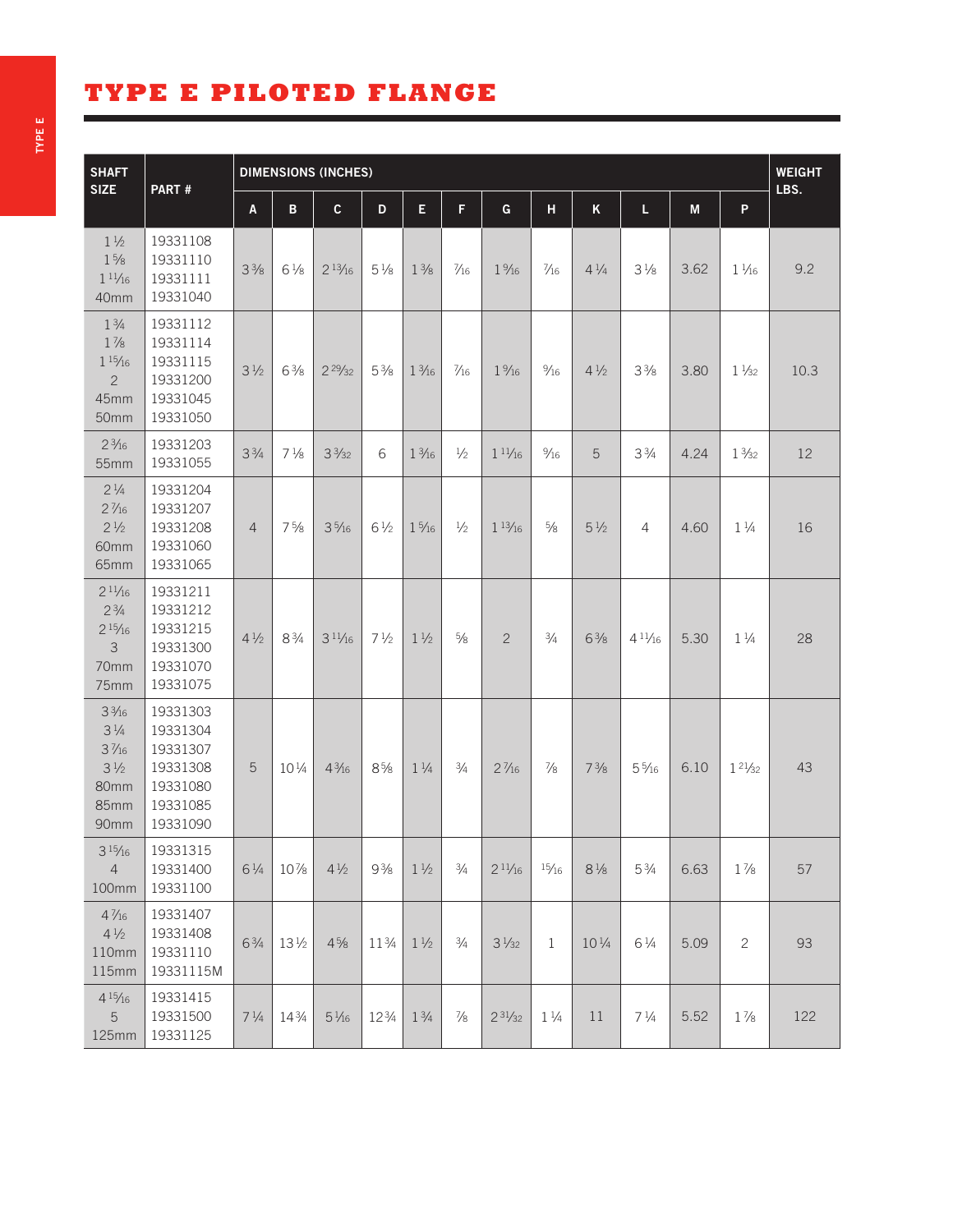## **TYPE E PILOTED FLANGE**

| <b>SHAFT</b><br><b>SIZE</b>                                                                    | PART#                                                                            | <b>DIMENSIONS (INCHES)</b> |                 |                 |                |                 |                |                  |                |                  |                 |           |                 | <b>WEIGHT</b><br>LBS. |
|------------------------------------------------------------------------------------------------|----------------------------------------------------------------------------------|----------------------------|-----------------|-----------------|----------------|-----------------|----------------|------------------|----------------|------------------|-----------------|-----------|-----------------|-----------------------|
|                                                                                                |                                                                                  | A                          | B               | $\mathbf{C}$    | D              | E               | F              | $\mathbf G$      | H              | $\mathsf K$      | L               | ${\sf M}$ | $\mathsf{P}$    |                       |
| $1\frac{1}{2}$<br>$1\frac{5}{8}$<br>$1^{11/16}$<br>40mm                                        | 19331108<br>19331110<br>19331111<br>19331040                                     | $3\frac{3}{8}$             | $6\frac{1}{8}$  | $2^{13}/_{16}$  | $5\frac{1}{8}$ | $1\frac{3}{8}$  | $\frac{7}{16}$ | $1\frac{9}{16}$  | $\frac{7}{16}$ | $4\frac{1}{4}$   | $3\frac{1}{8}$  | 3.62      | $1\frac{1}{16}$ | 9.2                   |
| $1\frac{3}{4}$<br>$1\frac{7}{8}$<br>$1\frac{15}{16}$<br>$\overline{c}$<br>45mm<br>50mm         | 19331112<br>19331114<br>19331115<br>19331200<br>19331045<br>19331050             | $3\frac{1}{2}$             | $6\frac{3}{8}$  | $2^{29/32}$     | $5\frac{3}{8}$ | $1\frac{3}{16}$ | $\frac{7}{16}$ | $1\frac{9}{16}$  | $\frac{9}{16}$ | $4\frac{1}{2}$   | $3\frac{3}{8}$  | 3.80      | $1\frac{1}{32}$ | 10.3                  |
| $2\frac{3}{16}$<br>55mm                                                                        | 19331203<br>19331055                                                             | $3\frac{3}{4}$             | $7\frac{1}{8}$  | $3\frac{3}{32}$ | 6              | $1\frac{3}{16}$ | $1/2$          | $1^{11/16}$      | $\frac{9}{16}$ | 5                | $3\frac{3}{4}$  | 4.24      | $1\frac{3}{32}$ | 12                    |
| $2\frac{1}{4}$<br>$2\frac{7}{16}$<br>$2\frac{1}{2}$<br>60mm<br>65mm                            | 19331204<br>19331207<br>19331208<br>19331060<br>19331065                         | $\overline{4}$             | $7\frac{5}{8}$  | $3\frac{5}{16}$ | $6\frac{1}{2}$ | $1\frac{5}{16}$ | $\frac{1}{2}$  | $1\frac{13}{16}$ | $\frac{5}{8}$  | $5\frac{1}{2}$   | 4               | 4.60      | $1\frac{1}{4}$  | 16                    |
| $2^{11/16}$<br>$2\frac{3}{4}$<br>$2^{15}/16$<br>$\mathcal{S}$<br>70mm<br>75mm                  | 19331211<br>19331212<br>19331215<br>19331300<br>19331070<br>19331075             | $4\frac{1}{2}$             | $8\frac{3}{4}$  | $3^{11/16}$     | $7\frac{1}{2}$ | $1\frac{1}{2}$  | $5/8$          | $\overline{c}$   | $\frac{3}{4}$  | $6\frac{3}{8}$   | $4^{11}/_{16}$  | 5.30      | $1\frac{1}{4}$  | 28                    |
| $3\frac{3}{16}$<br>$3\frac{1}{4}$<br>$3\frac{7}{16}$<br>$3\frac{1}{2}$<br>80mm<br>85mm<br>90mm | 19331303<br>19331304<br>19331307<br>19331308<br>19331080<br>19331085<br>19331090 | 5                          | 101/4           | $4\frac{3}{16}$ | $8\frac{5}{8}$ | $1\frac{1}{4}$  | $\frac{3}{4}$  | $2\frac{7}{16}$  | $\frac{7}{8}$  | $7\frac{3}{8}$   | $5\frac{5}{16}$ | 6.10      | $1^{21/32}$     | 43                    |
| $3^{15}/16$<br>$\overline{4}$<br>100mm                                                         | 19331315<br>19331400<br>19331100                                                 | $6\frac{1}{4}$             | 10%             | $4\frac{1}{2}$  | $9\frac{3}{8}$ | $1\frac{1}{2}$  | $\frac{3}{4}$  | $2^{11/16}$      | 15/16          | $8\,\frac{1}{8}$ | $5\frac{3}{4}$  | 6.63      | $1\frac{7}{8}$  | 57                    |
| $4\frac{7}{16}$<br>$4\frac{1}{2}$<br>110mm<br>115mm                                            | 19331407<br>19331408<br>19331110<br>19331115M                                    | $6\frac{3}{4}$             | $13\frac{1}{2}$ | $4\frac{5}{8}$  | 113/4          | $1\frac{1}{2}$  | $\frac{3}{4}$  | $3\frac{1}{32}$  | $\mathbf 1$    | $10\frac{1}{4}$  | $6\frac{1}{4}$  | 5.09      | $\mathbf{2}$    | 93                    |
| $4\frac{15}{16}$<br>5<br>125mm                                                                 | 19331415<br>19331500<br>19331125                                                 | $7\frac{1}{4}$             | 143/4           | $5\frac{1}{16}$ | 123/4          | $1\frac{3}{4}$  | $\frac{7}{8}$  | $2^{31/32}$      | $1\frac{1}{4}$ | 11               | $7\frac{1}{4}$  | 5.52      | $1\frac{7}{8}$  | 122                   |